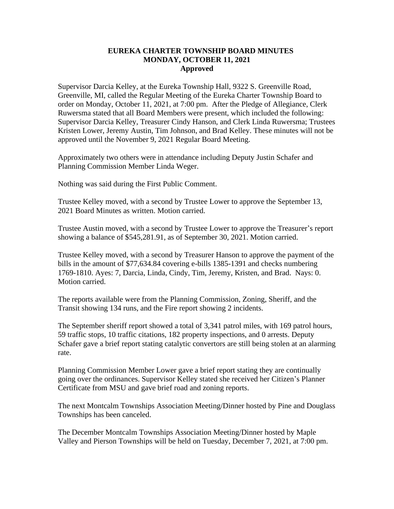## **EUREKA CHARTER TOWNSHIP BOARD MINUTES MONDAY, OCTOBER 11, 2021 Approved**

Supervisor Darcia Kelley, at the Eureka Township Hall, 9322 S. Greenville Road, Greenville, MI, called the Regular Meeting of the Eureka Charter Township Board to order on Monday, October 11, 2021, at 7:00 pm. After the Pledge of Allegiance, Clerk Ruwersma stated that all Board Members were present, which included the following: Supervisor Darcia Kelley, Treasurer Cindy Hanson, and Clerk Linda Ruwersma; Trustees Kristen Lower, Jeremy Austin, Tim Johnson, and Brad Kelley. These minutes will not be approved until the November 9, 2021 Regular Board Meeting.

Approximately two others were in attendance including Deputy Justin Schafer and Planning Commission Member Linda Weger.

Nothing was said during the First Public Comment.

Trustee Kelley moved, with a second by Trustee Lower to approve the September 13, 2021 Board Minutes as written. Motion carried.

Trustee Austin moved, with a second by Trustee Lower to approve the Treasurer's report showing a balance of \$545,281.91, as of September 30, 2021. Motion carried.

Trustee Kelley moved, with a second by Treasurer Hanson to approve the payment of the bills in the amount of \$77,634.84 covering e-bills 1385-1391 and checks numbering 1769-1810. Ayes: 7, Darcia, Linda, Cindy, Tim, Jeremy, Kristen, and Brad. Nays: 0. Motion carried.

The reports available were from the Planning Commission, Zoning, Sheriff, and the Transit showing 134 runs, and the Fire report showing 2 incidents.

The September sheriff report showed a total of 3,341 patrol miles, with 169 patrol hours, 59 traffic stops, 10 traffic citations, 182 property inspections, and 0 arrests. Deputy Schafer gave a brief report stating catalytic convertors are still being stolen at an alarming rate.

Planning Commission Member Lower gave a brief report stating they are continually going over the ordinances. Supervisor Kelley stated she received her Citizen's Planner Certificate from MSU and gave brief road and zoning reports.

The next Montcalm Townships Association Meeting/Dinner hosted by Pine and Douglass Townships has been canceled.

The December Montcalm Townships Association Meeting/Dinner hosted by Maple Valley and Pierson Townships will be held on Tuesday, December 7, 2021, at 7:00 pm.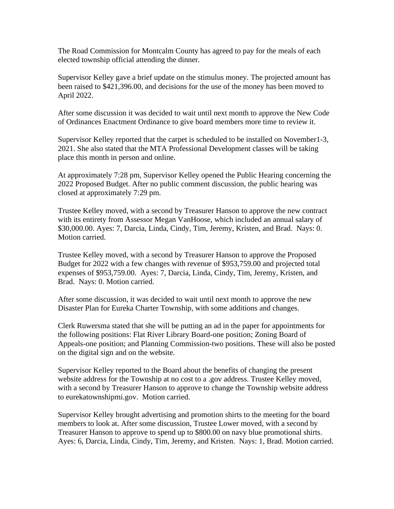The Road Commission for Montcalm County has agreed to pay for the meals of each elected township official attending the dinner.

Supervisor Kelley gave a brief update on the stimulus money. The projected amount has been raised to \$421,396.00, and decisions for the use of the money has been moved to April 2022.

After some discussion it was decided to wait until next month to approve the New Code of Ordinances Enactment Ordinance to give board members more time to review it.

Supervisor Kelley reported that the carpet is scheduled to be installed on November1-3, 2021. She also stated that the MTA Professional Development classes will be taking place this month in person and online.

At approximately 7:28 pm, Supervisor Kelley opened the Public Hearing concerning the 2022 Proposed Budget. After no public comment discussion, the public hearing was closed at approximately 7:29 pm.

Trustee Kelley moved, with a second by Treasurer Hanson to approve the new contract with its entirety from Assessor Megan VanHoose, which included an annual salary of \$30,000.00. Ayes: 7, Darcia, Linda, Cindy, Tim, Jeremy, Kristen, and Brad. Nays: 0. Motion carried.

Trustee Kelley moved, with a second by Treasurer Hanson to approve the Proposed Budget for 2022 with a few changes with revenue of \$953,759.00 and projected total expenses of \$953,759.00. Ayes: 7, Darcia, Linda, Cindy, Tim, Jeremy, Kristen, and Brad. Nays: 0. Motion carried.

After some discussion, it was decided to wait until next month to approve the new Disaster Plan for Eureka Charter Township, with some additions and changes.

Clerk Ruwersma stated that she will be putting an ad in the paper for appointments for the following positions: Flat River Library Board-one position; Zoning Board of Appeals-one position; and Planning Commission-two positions. These will also be posted on the digital sign and on the website.

Supervisor Kelley reported to the Board about the benefits of changing the present website address for the Township at no cost to a .gov address. Trustee Kelley moved, with a second by Treasurer Hanson to approve to change the Township website address to eurekatownshipmi.gov. Motion carried.

Supervisor Kelley brought advertising and promotion shirts to the meeting for the board members to look at. After some discussion, Trustee Lower moved, with a second by Treasurer Hanson to approve to spend up to \$800.00 on navy blue promotional shirts. Ayes: 6, Darcia, Linda, Cindy, Tim, Jeremy, and Kristen. Nays: 1, Brad. Motion carried.